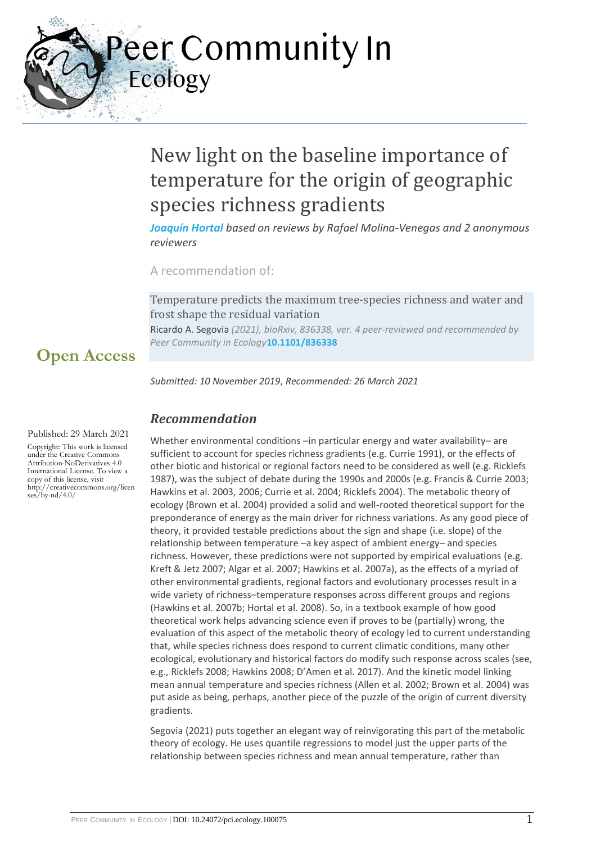eer Community In Ecology

## New light on the baseline importance of temperature for the origin of geographic species richness gradients

*[Joaquín Hortal](https://ecology.peercommunityin.org/public/user_public_page?userId=208) based on reviews by Rafael Molina-Venegas and 2 anonymous reviewers*

A recommendation of:

Temperature predicts the maximum tree-species richness and water and frost shape the residual variation

Ricardo A. Segovia *(2021), bioRxiv, 836338, ver. 4 peer-reviewed and recommended by Peer Community in Ecology***[10.1101/836338](https://doi.org/10.1101/836338)**

*Submitted: 10 November 2019*, *Recommended: 26 March 2021*

### *Recommendation*

Whether environmental conditions –in particular energy and water availability– are sufficient to account for species richness gradients (e.g. Currie 1991), or the effects of other biotic and historical or regional factors need to be considered as well (e.g. Ricklefs 1987), was the subject of debate during the 1990s and 2000s (e.g. Francis & Currie 2003; Hawkins et al. 2003, 2006; Currie et al. 2004; Ricklefs 2004). The metabolic theory of ecology (Brown et al. 2004) provided a solid and well-rooted theoretical support for the preponderance of energy as the main driver for richness variations. As any good piece of theory, it provided testable predictions about the sign and shape (i.e. slope) of the relationship between temperature –a key aspect of ambient energy– and species richness. However, these predictions were not supported by empirical evaluations (e.g. Kreft & Jetz 2007; Algar et al. 2007; Hawkins et al. 2007a), as the effects of a myriad of other environmental gradients, regional factors and evolutionary processes result in a wide variety of richness–temperature responses across different groups and regions (Hawkins et al. 2007b; Hortal et al. 2008). So, in a textbook example of how good theoretical work helps advancing science even if proves to be (partially) wrong, the evaluation of this aspect of the metabolic theory of ecology led to current understanding that, while species richness does respond to current climatic conditions, many other ecological, evolutionary and historical factors do modify such response across scales (see, e.g., Ricklefs 2008; Hawkins 2008; D'Amen et al. 2017). And the kinetic model linking mean annual temperature and species richness (Allen et al. 2002; Brown et al. 2004) was put aside as being, perhaps, another piece of the puzzle of the origin of current diversity gradients.

Segovia (2021) puts together an elegant way of reinvigorating this part of the metabolic theory of ecology. He uses quantile regressions to model just the upper parts of the relationship between species richness and mean annual temperature, rather than

#### Published: 29 March 2021

**Open Access**

Copyright: This work is licensed under the Creative Commons Attribution-NoDerivatives 4.0 International License. To view a copy of this license, visit http://creativecommons.org/licen ses/by-nd/4.0/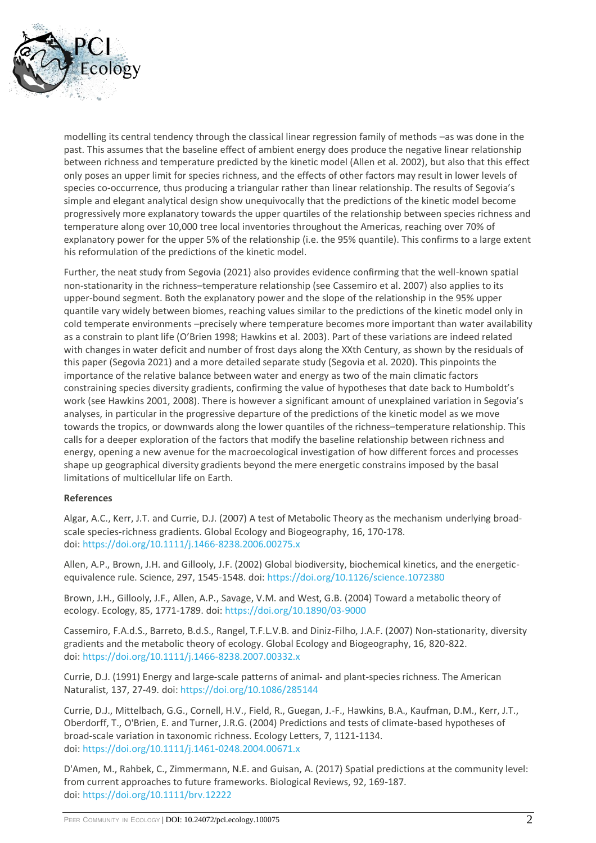

modelling its central tendency through the classical linear regression family of methods –as was done in the past. This assumes that the baseline effect of ambient energy does produce the negative linear relationship between richness and temperature predicted by the kinetic model (Allen et al. 2002), but also that this effect only poses an upper limit for species richness, and the effects of other factors may result in lower levels of species co-occurrence, thus producing a triangular rather than linear relationship. The results of Segovia's simple and elegant analytical design show unequivocally that the predictions of the kinetic model become progressively more explanatory towards the upper quartiles of the relationship between species richness and temperature along over 10,000 tree local inventories throughout the Americas, reaching over 70% of explanatory power for the upper 5% of the relationship (i.e. the 95% quantile). This confirms to a large extent his reformulation of the predictions of the kinetic model.

Further, the neat study from Segovia (2021) also provides evidence confirming that the well-known spatial non-stationarity in the richness–temperature relationship (see Cassemiro et al. 2007) also applies to its upper-bound segment. Both the explanatory power and the slope of the relationship in the 95% upper quantile vary widely between biomes, reaching values similar to the predictions of the kinetic model only in cold temperate environments –precisely where temperature becomes more important than water availability as a constrain to plant life (O'Brien 1998; Hawkins et al. 2003). Part of these variations are indeed related with changes in water deficit and number of frost days along the XXth Century, as shown by the residuals of this paper (Segovia 2021) and a more detailed separate study (Segovia et al. 2020). This pinpoints the importance of the relative balance between water and energy as two of the main climatic factors constraining species diversity gradients, confirming the value of hypotheses that date back to Humboldt's work (see Hawkins 2001, 2008). There is however a significant amount of unexplained variation in Segovia's analyses, in particular in the progressive departure of the predictions of the kinetic model as we move towards the tropics, or downwards along the lower quantiles of the richness–temperature relationship. This calls for a deeper exploration of the factors that modify the baseline relationship between richness and energy, opening a new avenue for the macroecological investigation of how different forces and processes shape up geographical diversity gradients beyond the mere energetic constrains imposed by the basal limitations of multicellular life on Earth.

#### **References**

Algar, A.C., Kerr, J.T. and Currie, D.J. (2007) A test of Metabolic Theory as the mechanism underlying broadscale species-richness gradients. Global Ecology and Biogeography, 16, 170-178. doi: <https://doi.org/10.1111/j.1466-8238.2006.00275.x>

Allen, A.P., Brown, J.H. and Gillooly, J.F. (2002) Global biodiversity, biochemical kinetics, and the energeticequivalence rule. Science, 297, 1545-1548. doi: <https://doi.org/10.1126/science.1072380>

Brown, J.H., Gillooly, J.F., Allen, A.P., Savage, V.M. and West, G.B. (2004) Toward a metabolic theory of ecology. Ecology, 85, 1771-1789. doi: <https://doi.org/10.1890/03-9000>

Cassemiro, F.A.d.S., Barreto, B.d.S., Rangel, T.F.L.V.B. and Diniz-Filho, J.A.F. (2007) Non-stationarity, diversity gradients and the metabolic theory of ecology. Global Ecology and Biogeography, 16, 820-822. doi: <https://doi.org/10.1111/j.1466-8238.2007.00332.x>

Currie, D.J. (1991) Energy and large-scale patterns of animal- and plant-species richness. The American Naturalist, 137, 27-49. doi: <https://doi.org/10.1086/285144>

Currie, D.J., Mittelbach, G.G., Cornell, H.V., Field, R., Guegan, J.-F., Hawkins, B.A., Kaufman, D.M., Kerr, J.T., Oberdorff, T., O'Brien, E. and Turner, J.R.G. (2004) Predictions and tests of climate-based hypotheses of broad-scale variation in taxonomic richness. Ecology Letters, 7, 1121-1134. doi: <https://doi.org/10.1111/j.1461-0248.2004.00671.x>

D'Amen, M., Rahbek, C., Zimmermann, N.E. and Guisan, A. (2017) Spatial predictions at the community level: from current approaches to future frameworks. Biological Reviews, 92, 169-187. doi: <https://doi.org/10.1111/brv.12222>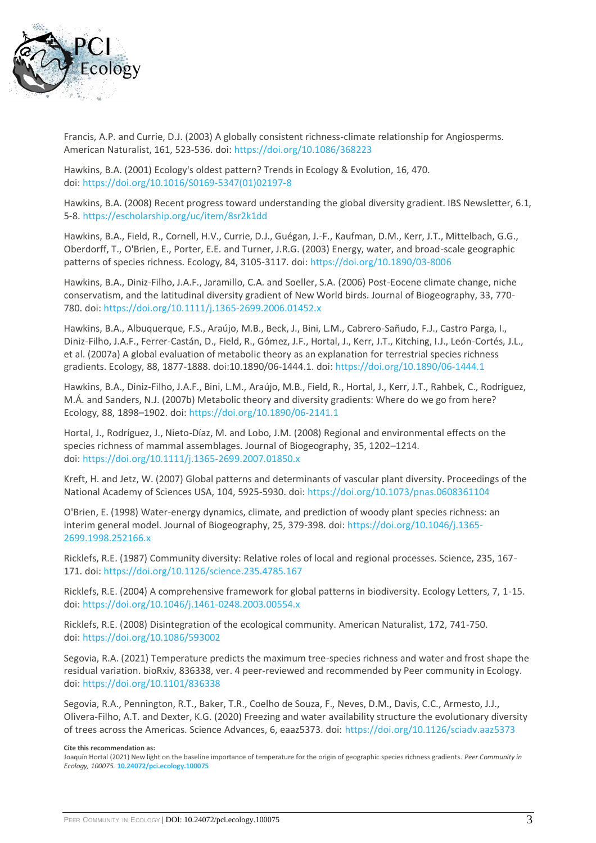

Francis, A.P. and Currie, D.J. (2003) A globally consistent richness-climate relationship for Angiosperms. American Naturalist, 161, 523-536. doi: <https://doi.org/10.1086/368223>

Hawkins, B.A. (2001) Ecology's oldest pattern? Trends in Ecology & Evolution, 16, 470. doi: [https://doi.org/10.1016/S0169-5347\(01\)02197-8](https://doi.org/10.1016/S0169-5347(01)02197-8)

Hawkins, B.A. (2008) Recent progress toward understanding the global diversity gradient. IBS Newsletter, 6.1, 5-8. <https://escholarship.org/uc/item/8sr2k1dd>

Hawkins, B.A., Field, R., Cornell, H.V., Currie, D.J., Guégan, J.-F., Kaufman, D.M., Kerr, J.T., Mittelbach, G.G., Oberdorff, T., O'Brien, E., Porter, E.E. and Turner, J.R.G. (2003) Energy, water, and broad-scale geographic patterns of species richness. Ecology, 84, 3105-3117. doi: <https://doi.org/10.1890/03-8006>

Hawkins, B.A., Diniz-Filho, J.A.F., Jaramillo, C.A. and Soeller, S.A. (2006) Post-Eocene climate change, niche conservatism, and the latitudinal diversity gradient of New World birds. Journal of Biogeography, 33, 770- 780. doi: <https://doi.org/10.1111/j.1365-2699.2006.01452.x>

Hawkins, B.A., Albuquerque, F.S., Araújo, M.B., Beck, J., Bini, L.M., Cabrero-Sañudo, F.J., Castro Parga, I., Diniz-Filho, J.A.F., Ferrer-Castán, D., Field, R., Gómez, J.F., Hortal, J., Kerr, J.T., Kitching, I.J., León-Cortés, J.L., et al. (2007a) A global evaluation of metabolic theory as an explanation for terrestrial species richness gradients. Ecology, 88, 1877-1888. doi:10.1890/06-1444.1. doi: <https://doi.org/10.1890/06-1444.1>

Hawkins, B.A., Diniz-Filho, J.A.F., Bini, L.M., Araújo, M.B., Field, R., Hortal, J., Kerr, J.T., Rahbek, C., Rodríguez, M.Á. and Sanders, N.J. (2007b) Metabolic theory and diversity gradients: Where do we go from here? Ecology, 88, 1898–1902. doi: <https://doi.org/10.1890/06-2141.1>

Hortal, J., Rodríguez, J., Nieto-Díaz, M. and Lobo, J.M. (2008) Regional and environmental effects on the species richness of mammal assemblages. Journal of Biogeography, 35, 1202–1214. doi: <https://doi.org/10.1111/j.1365-2699.2007.01850.x>

Kreft, H. and Jetz, W. (2007) Global patterns and determinants of vascular plant diversity. Proceedings of the National Academy of Sciences USA, 104, 5925-5930. doi: <https://doi.org/10.1073/pnas.0608361104>

O'Brien, E. (1998) Water-energy dynamics, climate, and prediction of woody plant species richness: an interim general model. Journal of Biogeography, 25, 379-398. doi: [https://doi.org/10.1046/j.1365-](https://doi.org/10.1046/j.1365-2699.1998.252166.x) [2699.1998.252166.x](https://doi.org/10.1046/j.1365-2699.1998.252166.x)

Ricklefs, R.E. (1987) Community diversity: Relative roles of local and regional processes. Science, 235, 167- 171. doi: <https://doi.org/10.1126/science.235.4785.167>

Ricklefs, R.E. (2004) A comprehensive framework for global patterns in biodiversity. Ecology Letters, 7, 1-15. doi: <https://doi.org/10.1046/j.1461-0248.2003.00554.x>

Ricklefs, R.E. (2008) Disintegration of the ecological community. American Naturalist, 172, 741-750. doi: <https://doi.org/10.1086/593002>

Segovia, R.A. (2021) Temperature predicts the maximum tree-species richness and water and frost shape the residual variation. bioRxiv, 836338, ver. 4 peer-reviewed and recommended by Peer community in Ecology. doi: <https://doi.org/10.1101/836338>

Segovia, R.A., Pennington, R.T., Baker, T.R., Coelho de Souza, F., Neves, D.M., Davis, C.C., Armesto, J.J., Olivera-Filho, A.T. and Dexter, K.G. (2020) Freezing and water availability structure the evolutionary diversity of trees across the Americas. Science Advances, 6, eaaz5373. doi: <https://doi.org/10.1126/sciadv.aaz5373>

**Cite this recommendation as:**

Joaquín Hortal (2021) New light on the baseline importance of temperature for the origin of geographic species richness gradients. *Peer Community in Ecology, 100075.* **[10.24072/pci.ecology.100075](https://doi.org/10.24072/pci.ecology.100075)**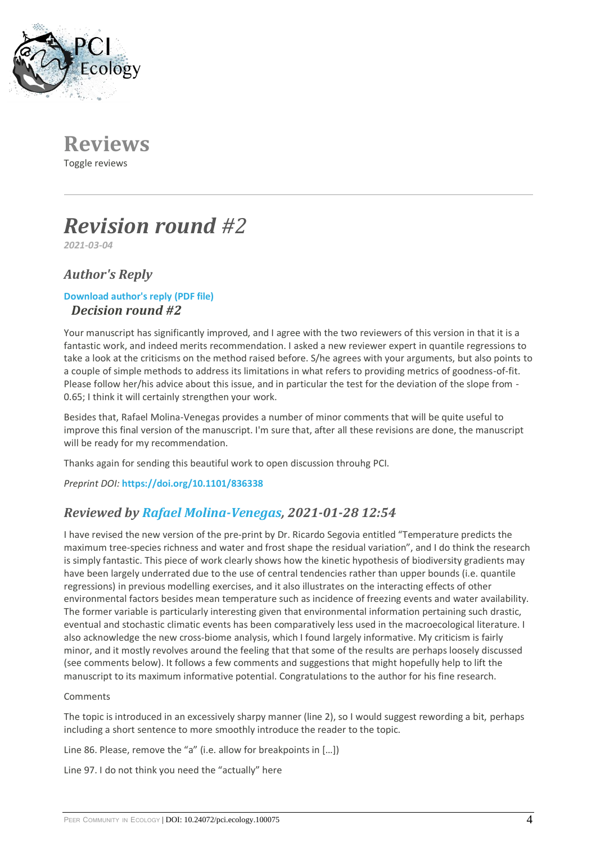

**Reviews** Toggle reviews

# *Revision round #2*

*2021-03-04*

## *Author's Reply*

### **[Download author's reply \(PDF file\)](https://ecology.peercommunityin.org/download/t_recommendations.reply_pdf.bb9f299279a52a36.726576322e706466.pdf)** *Decision round #2*

Your manuscript has significantly improved, and I agree with the two reviewers of this version in that it is a fantastic work, and indeed merits recommendation. I asked a new reviewer expert in quantile regressions to take a look at the criticisms on the method raised before. S/he agrees with your arguments, but also points to a couple of simple methods to address its limitations in what refers to providing metrics of goodness-of-fit. Please follow her/his advice about this issue, and in particular the test for the deviation of the slope from - 0.65; I think it will certainly strengthen your work.

Besides that, Rafael Molina-Venegas provides a number of minor comments that will be quite useful to improve this final version of the manuscript. I'm sure that, after all these revisions are done, the manuscript will be ready for my recommendation.

Thanks again for sending this beautiful work to open discussion throuhg PCI.

*Preprint DOI:* **<https://doi.org/10.1101/836338>**

## *Reviewed by [Rafael Molina-Venegas,](https://ecology.peercommunityin.org/public/user_public_page?userId=1146) 2021-01-28 12:54*

I have revised the new version of the pre-print by Dr. Ricardo Segovia entitled "Temperature predicts the maximum tree-species richness and water and frost shape the residual variation", and I do think the research is simply fantastic. This piece of work clearly shows how the kinetic hypothesis of biodiversity gradients may have been largely underrated due to the use of central tendencies rather than upper bounds (i.e. quantile regressions) in previous modelling exercises, and it also illustrates on the interacting effects of other environmental factors besides mean temperature such as incidence of freezing events and water availability. The former variable is particularly interesting given that environmental information pertaining such drastic, eventual and stochastic climatic events has been comparatively less used in the macroecological literature. I also acknowledge the new cross-biome analysis, which I found largely informative. My criticism is fairly minor, and it mostly revolves around the feeling that that some of the results are perhaps loosely discussed (see comments below). It follows a few comments and suggestions that might hopefully help to lift the manuscript to its maximum informative potential. Congratulations to the author for his fine research.

#### Comments

The topic is introduced in an excessively sharpy manner (line 2), so I would suggest rewording a bit, perhaps including a short sentence to more smoothly introduce the reader to the topic.

Line 86. Please, remove the "a" (i.e. allow for breakpoints in […])

Line 97. I do not think you need the "actually" here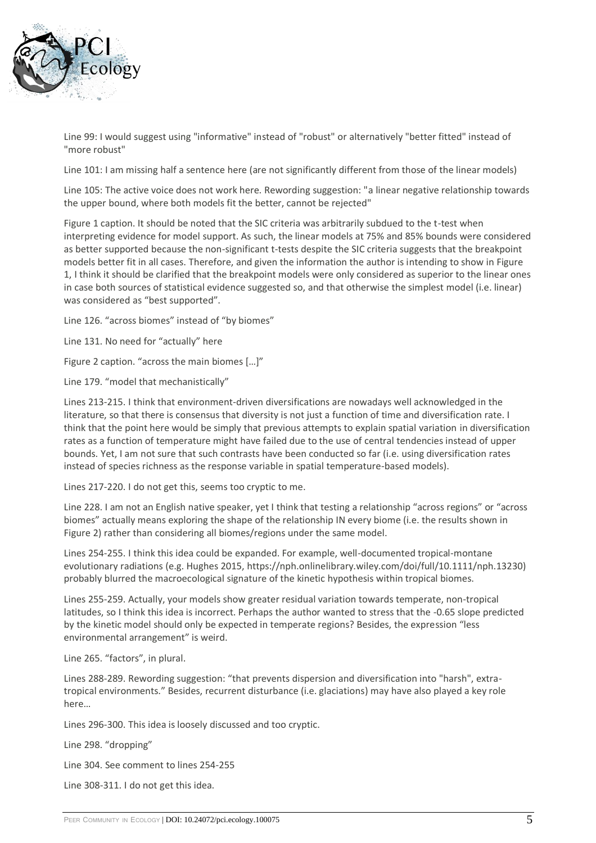

Line 99: I would suggest using "informative" instead of "robust" or alternatively "better fitted" instead of "more robust"

Line 101: I am missing half a sentence here (are not significantly different from those of the linear models)

Line 105: The active voice does not work here. Rewording suggestion: "a linear negative relationship towards the upper bound, where both models fit the better, cannot be rejected"

Figure 1 caption. It should be noted that the SIC criteria was arbitrarily subdued to the t-test when interpreting evidence for model support. As such, the linear models at 75% and 85% bounds were considered as better supported because the non-significant t-tests despite the SIC criteria suggests that the breakpoint models better fit in all cases. Therefore, and given the information the author is intending to show in Figure 1, I think it should be clarified that the breakpoint models were only considered as superior to the linear ones in case both sources of statistical evidence suggested so, and that otherwise the simplest model (i.e. linear) was considered as "best supported".

Line 126. "across biomes" instead of "by biomes"

Line 131. No need for "actually" here

Figure 2 caption. "across the main biomes […]"

Line 179. "model that mechanistically"

Lines 213-215. I think that environment-driven diversifications are nowadays well acknowledged in the literature, so that there is consensus that diversity is not just a function of time and diversification rate. I think that the point here would be simply that previous attempts to explain spatial variation in diversification rates as a function of temperature might have failed due to the use of central tendencies instead of upper bounds. Yet, I am not sure that such contrasts have been conducted so far (i.e. using diversification rates instead of species richness as the response variable in spatial temperature-based models).

Lines 217-220. I do not get this, seems too cryptic to me.

Line 228. I am not an English native speaker, yet I think that testing a relationship "across regions" or "across biomes" actually means exploring the shape of the relationship IN every biome (i.e. the results shown in Figure 2) rather than considering all biomes/regions under the same model.

Lines 254-255. I think this idea could be expanded. For example, well-documented tropical-montane evolutionary radiations (e.g. Hughes 2015, https://nph.onlinelibrary.wiley.com/doi/full/10.1111/nph.13230) probably blurred the macroecological signature of the kinetic hypothesis within tropical biomes.

Lines 255-259. Actually, your models show greater residual variation towards temperate, non-tropical latitudes, so I think this idea is incorrect. Perhaps the author wanted to stress that the -0.65 slope predicted by the kinetic model should only be expected in temperate regions? Besides, the expression "less environmental arrangement" is weird.

Line 265. "factors", in plural.

Lines 288-289. Rewording suggestion: "that prevents dispersion and diversification into "harsh", extratropical environments." Besides, recurrent disturbance (i.e. glaciations) may have also played a key role here…

Lines 296-300. This idea is loosely discussed and too cryptic.

Line 298. "dropping"

Line 304. See comment to lines 254-255

Line 308-311. I do not get this idea.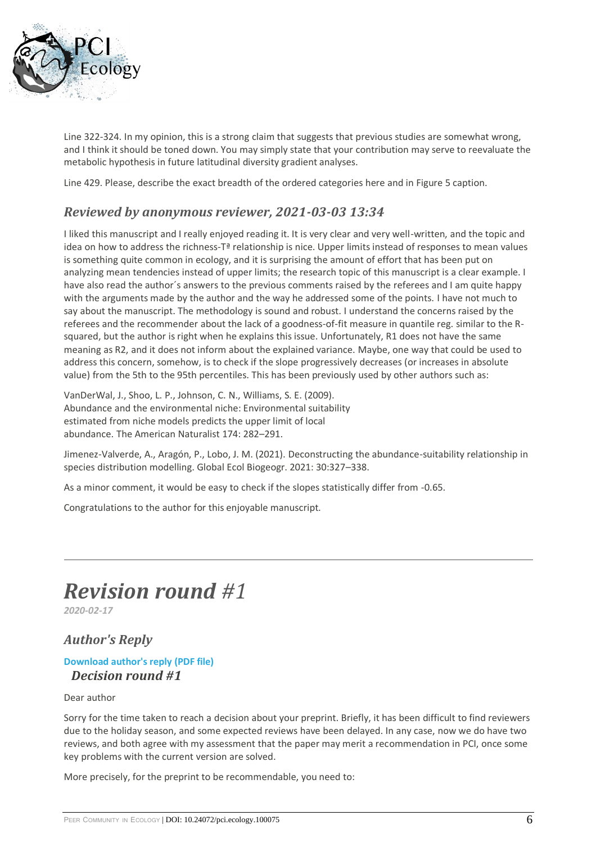

Line 322-324. In my opinion, this is a strong claim that suggests that previous studies are somewhat wrong, and I think it should be toned down. You may simply state that your contribution may serve to reevaluate the metabolic hypothesis in future latitudinal diversity gradient analyses.

Line 429. Please, describe the exact breadth of the ordered categories here and in Figure 5 caption.

## *Reviewed by anonymous reviewer, 2021-03-03 13:34*

I liked this manuscript and I really enjoyed reading it. It is very clear and very well-written, and the topic and idea on how to address the richness-Tª relationship is nice. Upper limits instead of responses to mean values is something quite common in ecology, and it is surprising the amount of effort that has been put on analyzing mean tendencies instead of upper limits; the research topic of this manuscript is a clear example. I have also read the author´s answers to the previous comments raised by the referees and I am quite happy with the arguments made by the author and the way he addressed some of the points. I have not much to say about the manuscript. The methodology is sound and robust. I understand the concerns raised by the referees and the recommender about the lack of a goodness-of-fit measure in quantile reg. similar to the Rsquared, but the author is right when he explains this issue. Unfortunately, R1 does not have the same meaning as R2, and it does not inform about the explained variance. Maybe, one way that could be used to address this concern, somehow, is to check if the slope progressively decreases (or increases in absolute value) from the 5th to the 95th percentiles. This has been previously used by other authors such as:

VanDerWal, J., Shoo, L. P., Johnson, C. N., Williams, S. E. (2009). Abundance and the environmental niche: Environmental suitability estimated from niche models predicts the upper limit of local abundance. The American Naturalist 174: 282–291.

Jimenez-Valverde, A., Aragón, P., Lobo, J. M. (2021). Deconstructing the abundance-suitability relationship in species distribution modelling. Global Ecol Biogeogr. 2021: 30:327–338.

As a minor comment, it would be easy to check if the slopes statistically differ from -0.65.

Congratulations to the author for this enjoyable manuscript.

## *Revision round #1*

*2020-02-17*

## *Author's Reply*

#### **[Download author's reply \(PDF file\)](https://ecology.peercommunityin.org/download/t_recommendations.reply_pdf.8d8efeb008648108.726573706f6e73655f6c65747465722e706466.pdf)** *Decision round #1*

#### Dear author

Sorry for the time taken to reach a decision about your preprint. Briefly, it has been difficult to find reviewers due to the holiday season, and some expected reviews have been delayed. In any case, now we do have two reviews, and both agree with my assessment that the paper may merit a recommendation in PCI, once some key problems with the current version are solved.

More precisely, for the preprint to be recommendable, you need to: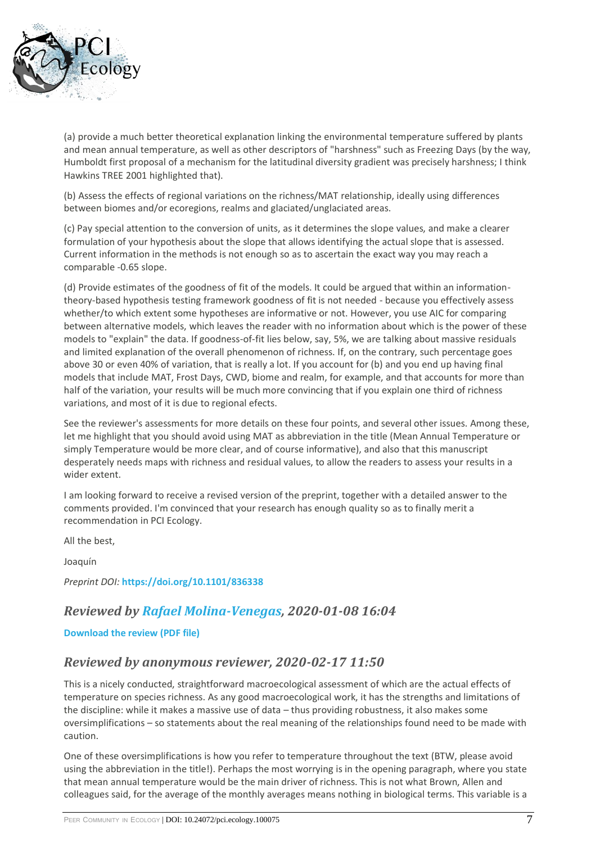

(a) provide a much better theoretical explanation linking the environmental temperature suffered by plants and mean annual temperature, as well as other descriptors of "harshness" such as Freezing Days (by the way, Humboldt first proposal of a mechanism for the latitudinal diversity gradient was precisely harshness; I think Hawkins TREE 2001 highlighted that).

(b) Assess the effects of regional variations on the richness/MAT relationship, ideally using differences between biomes and/or ecoregions, realms and glaciated/unglaciated areas.

(c) Pay special attention to the conversion of units, as it determines the slope values, and make a clearer formulation of your hypothesis about the slope that allows identifying the actual slope that is assessed. Current information in the methods is not enough so as to ascertain the exact way you may reach a comparable -0.65 slope.

(d) Provide estimates of the goodness of fit of the models. It could be argued that within an informationtheory-based hypothesis testing framework goodness of fit is not needed - because you effectively assess whether/to which extent some hypotheses are informative or not. However, you use AIC for comparing between alternative models, which leaves the reader with no information about which is the power of these models to "explain" the data. If goodness-of-fit lies below, say, 5%, we are talking about massive residuals and limited explanation of the overall phenomenon of richness. If, on the contrary, such percentage goes above 30 or even 40% of variation, that is really a lot. If you account for (b) and you end up having final models that include MAT, Frost Days, CWD, biome and realm, for example, and that accounts for more than half of the variation, your results will be much more convincing that if you explain one third of richness variations, and most of it is due to regional efects.

See the reviewer's assessments for more details on these four points, and several other issues. Among these, let me highlight that you should avoid using MAT as abbreviation in the title (Mean Annual Temperature or simply Temperature would be more clear, and of course informative), and also that this manuscript desperately needs maps with richness and residual values, to allow the readers to assess your results in a wider extent.

I am looking forward to receive a revised version of the preprint, together with a detailed answer to the comments provided. I'm convinced that your research has enough quality so as to finally merit a recommendation in PCI Ecology.

All the best,

Joaquín

*Preprint DOI:* **<https://doi.org/10.1101/836338>**

## *Reviewed by [Rafael Molina-Venegas,](https://ecology.peercommunityin.org/public/user_public_page?userId=1146) 2020-01-08 16:04*

**[Download the review \(PDF file\)](https://ecology.peercommunityin.org/download/t_reviews.review_pdf.aa8ace6e2e320c88.54686520617574686f722070726573656e747320616e20696e746572657374696e67207069656365206f6620776f726b20746861742061696d656420746f2070726f7665207468617420746865206b696e65746963206879706f746865736973206f662062696f646976657273697479206d6179206e6f74207361746973666163746f72696c79206578706c61696e207468652063656e7472616c2074656e64656e637920696e207370656369657320722e706466.pdf)**

#### *Reviewed by anonymous reviewer, 2020-02-17 11:50*

This is a nicely conducted, straightforward macroecological assessment of which are the actual effects of temperature on species richness. As any good macroecological work, it has the strengths and limitations of the discipline: while it makes a massive use of data – thus providing robustness, it also makes some oversimplifications – so statements about the real meaning of the relationships found need to be made with caution.

One of these oversimplifications is how you refer to temperature throughout the text (BTW, please avoid using the abbreviation in the title!). Perhaps the most worrying is in the opening paragraph, where you state that mean annual temperature would be the main driver of richness. This is not what Brown, Allen and colleagues said, for the average of the monthly averages means nothing in biological terms. This variable is a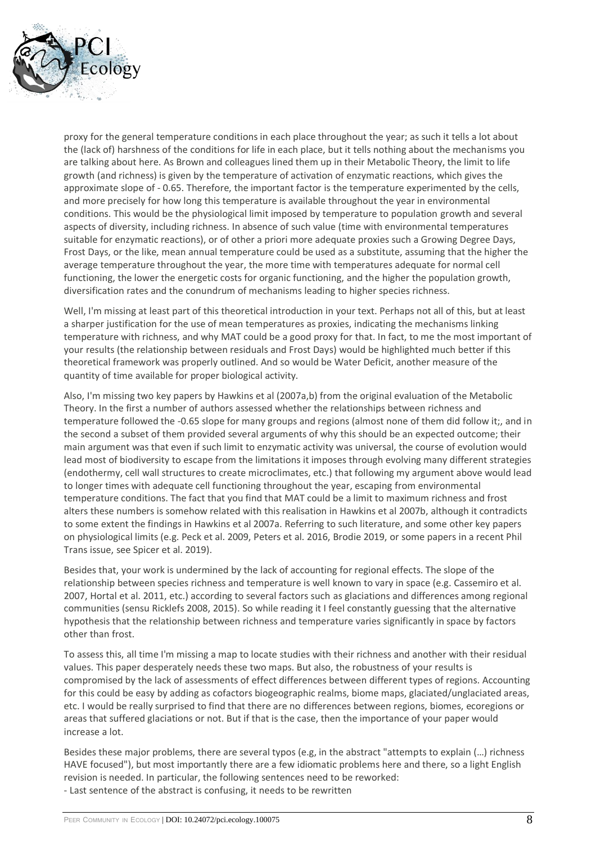

proxy for the general temperature conditions in each place throughout the year; as such it tells a lot about the (lack of) harshness of the conditions for life in each place, but it tells nothing about the mechanisms you are talking about here. As Brown and colleagues lined them up in their Metabolic Theory, the limit to life growth (and richness) is given by the temperature of activation of enzymatic reactions, which gives the approximate slope of - 0.65. Therefore, the important factor is the temperature experimented by the cells, and more precisely for how long this temperature is available throughout the year in environmental conditions. This would be the physiological limit imposed by temperature to population growth and several aspects of diversity, including richness. In absence of such value (time with environmental temperatures suitable for enzymatic reactions), or of other a priori more adequate proxies such a Growing Degree Days, Frost Days, or the like, mean annual temperature could be used as a substitute, assuming that the higher the average temperature throughout the year, the more time with temperatures adequate for normal cell functioning, the lower the energetic costs for organic functioning, and the higher the population growth, diversification rates and the conundrum of mechanisms leading to higher species richness.

Well, I'm missing at least part of this theoretical introduction in your text. Perhaps not all of this, but at least a sharper justification for the use of mean temperatures as proxies, indicating the mechanisms linking temperature with richness, and why MAT could be a good proxy for that. In fact, to me the most important of your results (the relationship between residuals and Frost Days) would be highlighted much better if this theoretical framework was properly outlined. And so would be Water Deficit, another measure of the quantity of time available for proper biological activity.

Also, I'm missing two key papers by Hawkins et al (2007a,b) from the original evaluation of the Metabolic Theory. In the first a number of authors assessed whether the relationships between richness and temperature followed the -0.65 slope for many groups and regions (almost none of them did follow it;, and in the second a subset of them provided several arguments of why this should be an expected outcome; their main argument was that even if such limit to enzymatic activity was universal, the course of evolution would lead most of biodiversity to escape from the limitations it imposes through evolving many different strategies (endothermy, cell wall structures to create microclimates, etc.) that following my argument above would lead to longer times with adequate cell functioning throughout the year, escaping from environmental temperature conditions. The fact that you find that MAT could be a limit to maximum richness and frost alters these numbers is somehow related with this realisation in Hawkins et al 2007b, although it contradicts to some extent the findings in Hawkins et al 2007a. Referring to such literature, and some other key papers on physiological limits (e.g. Peck et al. 2009, Peters et al. 2016, Brodie 2019, or some papers in a recent Phil Trans issue, see Spicer et al. 2019).

Besides that, your work is undermined by the lack of accounting for regional effects. The slope of the relationship between species richness and temperature is well known to vary in space (e.g. Cassemiro et al. 2007, Hortal et al. 2011, etc.) according to several factors such as glaciations and differences among regional communities (sensu Ricklefs 2008, 2015). So while reading it I feel constantly guessing that the alternative hypothesis that the relationship between richness and temperature varies significantly in space by factors other than frost.

To assess this, all time I'm missing a map to locate studies with their richness and another with their residual values. This paper desperately needs these two maps. But also, the robustness of your results is compromised by the lack of assessments of effect differences between different types of regions. Accounting for this could be easy by adding as cofactors biogeographic realms, biome maps, glaciated/unglaciated areas, etc. I would be really surprised to find that there are no differences between regions, biomes, ecoregions or areas that suffered glaciations or not. But if that is the case, then the importance of your paper would increase a lot.

Besides these major problems, there are several typos (e.g, in the abstract "attempts to explain (…) richness HAVE focused"), but most importantly there are a few idiomatic problems here and there, so a light English revision is needed. In particular, the following sentences need to be reworked:

- Last sentence of the abstract is confusing, it needs to be rewritten